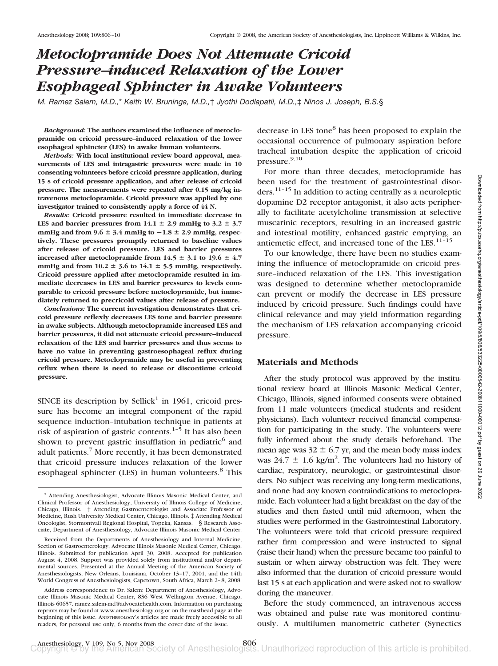# *Metoclopramide Does Not Attenuate Cricoid Pressure–induced Relaxation of the Lower Esophageal Sphincter in Awake Volunteers*

*M. Ramez Salem, M.D.,*\* *Keith W. Bruninga, M.D.,*† *Jyothi Dodlapatii, M.D.,*‡ *Ninos J. Joseph, B.S.*§

*Background:* **The authors examined the influence of metoclopramide on cricoid pressure–induced relaxation of the lower esophageal sphincter (LES) in awake human volunteers.**

*Methods:* **With local institutional review board approval, measurements of LES and intragastric pressures were made in 10 consenting volunteers before cricoid pressure application, during 15 s of cricoid pressure application, and after release of cricoid pressure. The measurements were repeated after 0.15 mg/kg intravenous metoclopramide. Cricoid pressure was applied by one investigator trained to consistently apply a force of 44 N.**

*Results:* **Cricoid pressure resulted in immediate decrease in** LES and barrier pressures from  $14.1 \pm 2.9$  mmHg to  $3.2 \pm 3.7$ mmHg and from  $9.6 \pm 3.4$  mmHg to  $-1.8 \pm 2.9$  mmHg, respec**tively. These pressures promptly returned to baseline values after release of cricoid pressure. LES and barrier pressures increased after metoclopramide from**  $14.5 \pm 3.1$  **to**  $19.6 \pm 4.7$ mmHg and from  $10.2 \pm 3.6$  to  $14.1 \pm 5.5$  mmHg, respectively. **Cricoid pressure applied after metoclopramide resulted in immediate decreases in LES and barrier pressures to levels comparable to cricoid pressure before metoclopramide, but immediately returned to precricoid values after release of pressure.**

*Conclusions:* **The current investigation demonstrates that cricoid pressure reflexly decreases LES tone and barrier pressure in awake subjects. Although metoclopramide increased LES and barrier pressures, it did not attenuate cricoid pressure–induced relaxation of the LES and barrier pressures and thus seems to have no value in preventing gastroesophageal reflux during cricoid pressure. Metoclopramide may be useful in preventing reflux when there is need to release or discontinue cricoid pressure.**

SINCE its description by Sellick<sup>1</sup> in 1961, cricoid pressure has become an integral component of the rapid sequence induction–intubation technique in patients at risk of aspiration of gastric contents. $1-5$  It has also been shown to prevent gastric insufflation in pediatric $<sup>6</sup>$  and</sup> adult patients.7 More recently, it has been demonstrated that cricoid pressure induces relaxation of the lower esophageal sphincter (LES) in human volunteers.<sup>8</sup> This decrease in LES tone<sup>8</sup> has been proposed to explain the occasional occurrence of pulmonary aspiration before tracheal intubation despite the application of cricoid pressure.<sup>9,10</sup>

For more than three decades, metoclopramide has been used for the treatment of gastrointestinal disorders.<sup>11-15</sup> In addition to acting centrally as a neuroleptic dopamine D2 receptor antagonist, it also acts peripherally to facilitate acetylcholine transmission at selective muscarinic receptors, resulting in an increased gastric and intestinal motility, enhanced gastric emptying, an antiemetic effect, and increased tone of the LES. $11-15$ 

To our knowledge, there have been no studies examining the influence of metoclopramide on cricoid pressure–induced relaxation of the LES. This investigation was designed to determine whether metoclopramide can prevent or modify the decrease in LES pressure induced by cricoid pressure. Such findings could have clinical relevance and may yield information regarding the mechanism of LES relaxation accompanying cricoid pressure.

### **Materials and Methods**

After the study protocol was approved by the institutional review board at Illinois Masonic Medical Center, Chicago, Illinois, signed informed consents were obtained from 11 male volunteers (medical students and resident physicians). Each volunteer received financial compensation for participating in the study. The volunteers were fully informed about the study details beforehand. The mean age was  $32 \pm 6.7$  yr, and the mean body mass index was  $24.7 \pm 1.6$  kg/m<sup>2</sup>. The volunteers had no history of cardiac, respiratory, neurologic, or gastrointestinal disorders. No subject was receiving any long-term medications, and none had any known contraindications to metoclopramide. Each volunteer had a light breakfast on the day of the studies and then fasted until mid afternoon, when the studies were performed in the Gastrointestinal Laboratory. The volunteers were told that cricoid pressure required rather firm compression and were instructed to signal (raise their hand) when the pressure became too painful to sustain or when airway obstruction was felt. They were also informed that the duration of cricoid pressure would last 15 s at each application and were asked not to swallow during the maneuver.

Before the study commenced, an intravenous access was obtained and pulse rate was monitored continuously. A multilumen manometric catheter (Synectics

<sup>\*</sup> Attending Anesthesiologist, Advocate Illinois Masonic Medical Center, and Clinical Professor of Anesthesiology, University of Illinois College of Medicine, Chicago, Illinois. † Attending Gastroenterologist and Associate Professor of Medicine, Rush University Medical Center, Chicago, Illinois. ‡ Attending Medical Oncologist, Stormontvail Regional Hospital, Topeka, Kansas. § Research Associate, Department of Anesthesiology, Advocate Illinois Masonic Medical Center.

Received from the Departments of Anesthesiology and Internal Medicine, Section of Gastroenterology, Advocate Illinois Masonic Medical Center, Chicago, Illinois. Submitted for publication April 30, 2008. Accepted for publication August 4, 2008. Support was provided solely from institutional and/or departmental sources. Presented at the Annual Meeting of the American Society of Anesthesiologists, New Orleans, Louisiana, October 13–17, 2001, and the 14th World Congress of Anesthesiologists, Capetown, South Africa, March 2–8, 2008.

Address correspondence to Dr. Salem: Department of Anesthesiology, Advocate Illinois Masonic Medical Center, 836 West Wellington Avenue, Chicago, Illinois 60657. ramez.salem-md@advocatehealth.com. Information on purchasing reprints may be found at www.anesthesiology.org or on the masthead page at the beginning of this issue. ANESTHESIOLOGY's articles are made freely accessible to all readers, for personal use only, 6 months from the cover date of the issue.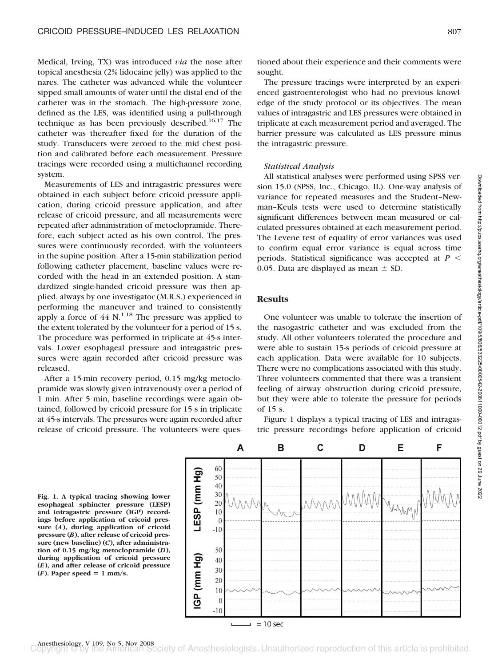Medical, Irving, TX) was introduced *via* the nose after topical anesthesia (2% lidocaine jelly) was applied to the nares. The catheter was advanced while the volunteer sipped small amounts of water until the distal end of the catheter was in the stomach. The high-pressure zone, defined as the LES, was identified using a pull-through technique as has been previously described.<sup>16,17</sup> The catheter was thereafter fixed for the duration of the study. Transducers were zeroed to the mid chest position and calibrated before each measurement. Pressure tracings were recorded using a multichannel recording system.

Measurements of LES and intragastric pressures were obtained in each subject before cricoid pressure application, during cricoid pressure application, and after release of cricoid pressure, and all measurements were repeated after administration of metoclopramide. Therefore, each subject acted as his own control. The pressures were continuously recorded, with the volunteers in the supine position. After a 15-min stabilization period following catheter placement, baseline values were recorded with the head in an extended position. A standardized single-handed cricoid pressure was then applied, always by one investigator (M.R.S.) experienced in performing the maneuver and trained to consistently apply a force of  $44 \text{ N}$ <sup>1,18</sup> The pressure was applied to the extent tolerated by the volunteer for a period of 15 s. The procedure was performed in triplicate at 45-s intervals. Lower esophageal pressure and intragastric pressures were again recorded after cricoid pressure was released.

After a 15-min recovery period, 0.15 mg/kg metoclopramide was slowly given intravenously over a period of 1 min. After 5 min, baseline recordings were again obtained, followed by cricoid pressure for 15 s in triplicate at 45-s intervals. The pressures were again recorded after release of cricoid pressure. The volunteers were questioned about their experience and their comments were sought.

The pressure tracings were interpreted by an experienced gastroenterologist who had no previous knowledge of the study protocol or its objectives. The mean values of intragastric and LES pressures were obtained in triplicate at each measurement period and averaged. The barrier pressure was calculated as LES pressure minus the intragastric pressure.

### *Statistical Analysis*

All statistical analyses were performed using SPSS version 15.0 (SPSS, Inc., Chicago, IL). One-way analysis of variance for repeated measures and the Student–Newman–Keuls tests were used to determine statistically significant differences between mean measured or calculated pressures obtained at each measurement period. The Levene test of equality of error variances was used to confirm equal error variance is equal across time periods. Statistical significance was accepted at  $P <$ 0.05. Data are displayed as mean  $\pm$  SD.

## **Results**

One volunteer was unable to tolerate the insertion of the nasogastric catheter and was excluded from the study. All other volunteers tolerated the procedure and were able to sustain 15-s periods of cricoid pressure at each application. Data were available for 10 subjects. There were no complications associated with this study. Three volunteers commented that there was a transient feeling of airway obstruction during cricoid pressure, but they were able to tolerate the pressure for periods of 15 s.

Figure 1 displays a typical tracing of LES and intragastric pressure recordings before application of cricoid

**Fig. 1. A typical tracing showing lower esophageal sphincter pressure (LESP) and intragastric pressure (IGP) recordings before application of cricoid pressure (***A***), during application of cricoid pressure (***B***), after release of cricoid pressure (new baseline) (***C***), after administration of 0.15 mg/kg metoclopramide (***D***), during application of cricoid pressure (***E***), and after release of cricoid pressure**  $(F)$ . Paper speed = 1 mm/s.

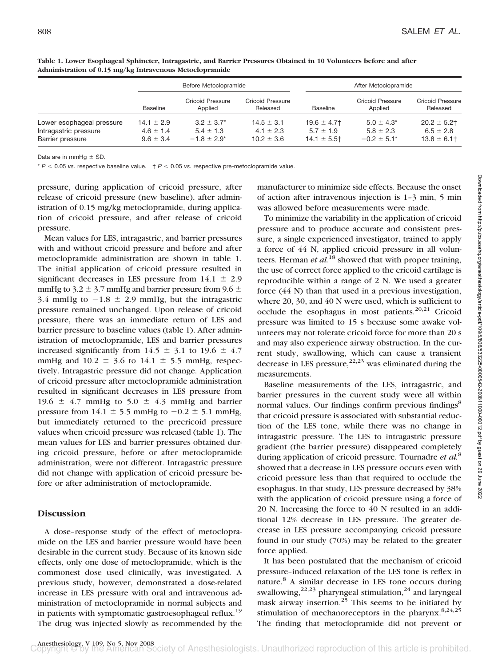|                                                                        | Before Metoclopramide                            |                                                    |                                                   | After Metoclopramide                              |                                                      |                                                   |
|------------------------------------------------------------------------|--------------------------------------------------|----------------------------------------------------|---------------------------------------------------|---------------------------------------------------|------------------------------------------------------|---------------------------------------------------|
|                                                                        | <b>Baseline</b>                                  | <b>Cricoid Pressure</b><br>Applied                 | Cricoid Pressure<br>Released                      | <b>Baseline</b>                                   | <b>Cricoid Pressure</b><br>Applied                   | <b>Cricoid Pressure</b><br>Released               |
| Lower esophageal pressure<br>Intragastric pressure<br>Barrier pressure | $14.1 \pm 2.9$<br>$4.6 \pm 1.4$<br>$9.6 \pm 3.4$ | $3.2 + 3.7^*$<br>$5.4 \pm 1.3$<br>$-1.8 \pm 2.9^*$ | $14.5 \pm 3.1$<br>$4.1 \pm 2.3$<br>$10.2 \pm 3.6$ | $19.6 \pm 4.7$<br>$5.7 \pm 1.9$<br>$14.1 \pm 5.5$ | $5.0 \pm 4.3^*$<br>$5.8 \pm 2.3$<br>$-0.2 \pm 5.1^*$ | $20.2 \pm 5.2$<br>$6.5 \pm 2.8$<br>$13.8 \pm 6.1$ |

**Table 1. Lower Esophageal Sphincter, Intragastric, and Barrier Pressures Obtained in 10 Volunteers before and after Administration of 0.15 mg/kg Intravenous Metoclopramide**

Data are in mmHg  $\pm$  SD.

 $* P < 0.05$  *vs.* respective baseline value.  $+ P < 0.05$  *vs.* respective pre-metoclopramide value.

pressure, during application of cricoid pressure, after release of cricoid pressure (new baseline), after administration of 0.15 mg/kg metoclopramide, during application of cricoid pressure, and after release of cricoid pressure.

Mean values for LES, intragastric, and barrier pressures with and without cricoid pressure and before and after metoclopramide administration are shown in table 1. The initial application of cricoid pressure resulted in significant decreases in LES pressure from  $14.1 \pm 2.9$ mmHg to 3.2  $\pm$  3.7 mmHg and barrier pressure from 9.6  $\pm$ 3.4 mmHg to  $-1.8 \pm 2.9$  mmHg, but the intragastric pressure remained unchanged. Upon release of cricoid pressure, there was an immediate return of LES and barrier pressure to baseline values (table 1). After administration of metoclopramide, LES and barrier pressures increased significantly from  $14.5 \pm 3.1$  to  $19.6 \pm 4.7$ mmHg and  $10.2 \pm 3.6$  to  $14.1 \pm 5.5$  mmHg, respectively. Intragastric pressure did not change. Application of cricoid pressure after metoclopramide administration resulted in significant decreases in LES pressure from 19.6  $\pm$  4.7 mmHg to 5.0  $\pm$  4.3 mmHg and barrier pressure from  $14.1 \pm 5.5$  mmHg to  $-0.2 \pm 5.1$  mmHg, but immediately returned to the precricoid pressure values when cricoid pressure was released (table 1). The mean values for LES and barrier pressures obtained during cricoid pressure, before or after metoclopramide administration, were not different. Intragastric pressure did not change with application of cricoid pressure before or after administration of metoclopramide.

## **Discussion**

A dose–response study of the effect of metoclopramide on the LES and barrier pressure would have been desirable in the current study. Because of its known side effects, only one dose of metoclopramide, which is the commonest dose used clinically, was investigated. A previous study, however, demonstrated a dose-related increase in LES pressure with oral and intravenous administration of metoclopramide in normal subjects and in patients with symptomatic gastroesophageal reflux.<sup>19</sup> The drug was injected slowly as recommended by the

manufacturer to minimize side effects. Because the onset of action after intravenous injection is 1–3 min, 5 min was allowed before measurements were made.

To minimize the variability in the application of cricoid pressure and to produce accurate and consistent pressure, a single experienced investigator, trained to apply a force of 44 N, applied cricoid pressure in all volunteers. Herman *et al.*<sup>18</sup> showed that with proper training, the use of correct force applied to the cricoid cartilage is reproducible within a range of 2 N. We used a greater force (44 N) than that used in a previous investigation, where 20, 30, and 40 N were used, which is sufficient to occlude the esophagus in most patients. $20,21$  Cricoid pressure was limited to 15 s because some awake volunteers may not tolerate cricoid force for more than 20 s and may also experience airway obstruction. In the current study, swallowing, which can cause a transient decrease in LES pressure,  $22,23$  was eliminated during the measurements.

Baseline measurements of the LES, intragastric, and barrier pressures in the current study were all within normal values. Our findings confirm previous findings<sup>8</sup> that cricoid pressure is associated with substantial reduction of the LES tone, while there was no change in intragastric pressure. The LES to intragastric pressure gradient (the barrier pressure) disappeared completely during application of cricoid pressure. Tournadre *et al.*<sup>8</sup> showed that a decrease in LES pressure occurs even with cricoid pressure less than that required to occlude the esophagus. In that study, LES pressure decreased by 38% with the application of cricoid pressure using a force of 20 N. Increasing the force to 40 N resulted in an additional 12% decrease in LES pressure. The greater decrease in LES pressure accompanying cricoid pressure found in our study (70%) may be related to the greater force applied.

It has been postulated that the mechanism of cricoid pressure–induced relaxation of the LES tone is reflex in nature.<sup>8</sup> A similar decrease in LES tone occurs during swallowing, $22,23$  pharyngeal stimulation, $24$  and laryngeal mask airway insertion. $25$  This seems to be initiated by stimulation of mechanoreceptors in the pharynx. $8,24,25$ The finding that metoclopramide did not prevent or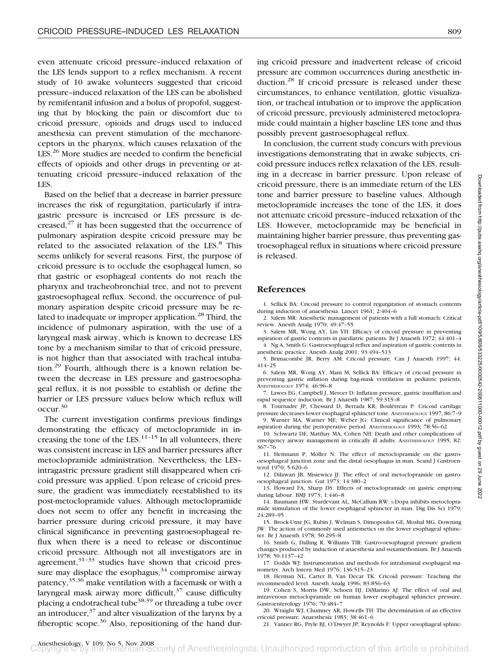even attenuate cricoid pressure–induced relaxation of the LES lends support to a reflex mechanism. A recent study of 10 awake volunteers suggested that cricoid pressure–induced relaxation of the LES can be abolished by remifentanil infusion and a bolus of propofol, suggesting that by blocking the pain or discomfort due to cricoid pressure, opioids and drugs used to induced anesthesia can prevent stimulation of the mechanoreceptors in the pharynx, which causes relaxation of the LES.<sup>26</sup> More studies are needed to confirm the beneficial effects of opioids and other drugs in preventing or attenuating cricoid pressure–induced relaxation of the LES.

Based on the belief that a decrease in barrier pressure increases the risk of regurgitation, particularly if intragastric pressure is increased or LES pressure is decreased, $27$  it has been suggested that the occurrence of pulmonary aspiration despite cricoid pressure may be related to the associated relaxation of the LES.<sup>8</sup> This seems unlikely for several reasons. First, the purpose of cricoid pressure is to occlude the esophageal lumen, so that gastric or esophageal contents do not reach the pharynx and tracheobronchial tree, and not to prevent gastroesophageal reflux. Second, the occurrence of pulmonary aspiration despite cricoid pressure may be related to inadequate or improper application.<sup>28</sup> Third, the incidence of pulmonary aspiration, with the use of a laryngeal mask airway, which is known to decrease LES tone by a mechanism similar to that of cricoid pressure, is not higher than that associated with tracheal intubation.29 Fourth, although there is a known relation between the decrease in LES pressure and gastroesophageal reflux, it is not possible to establish or define the barrier or LES pressure values below which reflux will occur.30

The current investigation confirms previous findings demonstrating the efficacy of metoclopramide in increasing the tone of the LES. $<sup>11-15</sup>$  In all volunteers, there</sup> was consistent increase in LES and barrier pressures after metoclopramide administration. Nevertheless, the LES– intragastric pressure gradient still disappeared when cricoid pressure was applied. Upon release of cricoid pressure, the gradient was immediately reestablished to its post-metoclopramide values. Although metoclopramide does not seem to offer any benefit in increasing the barrier pressure during cricoid pressure, it may have clinical significance in preventing gastroesophageal reflux when there is a need to release or discontinue cricoid pressure. Although not all investigators are in agreement, $31-33$  studies have shown that cricoid pressure may displace the esophagus,  $34$  compromise airway patency,35,36 make ventilation with a facemask or with a laryngeal mask airway more difficult, $37$  cause difficulty placing a endotracheal tube<sup>38,39</sup> or threading a tube over an introducer, $37$  and alter visualization of the larynx by a fiberoptic scope. $36$  Also, repositioning of the hand during cricoid pressure and inadvertent release of cricoid pressure are common occurrences during anesthetic induction.<sup>28</sup> If cricoid pressure is released under these circumstances, to enhance ventilation, glottic visualization, or tracheal intubation or to improve the application of cricoid pressure, previously administered metoclopramide could maintain a higher baseline LES tone and thus possibly prevent gastroesophageal reflux.

In conclusion, the current study concurs with previous investigations demonstrating that in awake subjects, cricoid pressure induces reflex relaxation of the LES, resulting in a decrease in barrier pressure. Upon release of cricoid pressure, there is an immediate return of the LES tone and barrier pressure to baseline values. Although metoclopramide increases the tone of the LES, it does not attenuate cricoid pressure–induced relaxation of the LES. However, metoclopramide may be beneficial in maintaining higher barrier pressure, thus preventing gastroesophageal reflux in situations where cricoid pressure is released.

## **References**

1. Sellick BA: Cricoid pressure to control regurgitation of stomach contents during induction of anaesthesia. Lancet 1961; 2:404–6

2. Salem MR: Anesthetic management of patients with a full stomach: Critical review. Anesth Analg 1970; 49:47–55

3. Salem MR, Wong AY, Lin YH: Efficacy of cricoid pressure in preventing aspiration of gastric contents in paediatric patients. Br J Anaesth 1972; 44:401–4 4. Ng A, Smith G: Gastroesophageal reflux and aspiration of gastric contents in

anesthetic practice. Anesth Analg 2001; 93:494–513 5. Brimacombe JR, Berry AM: Cricoid pressure. Can J Anaesth 1997; 44:

414–25 6. Salem MR, Wong AY, Mani M, Sellick BA: Efficacy of cricoid pressure in

preventing gastric inflation during bag-mask ventilation in pediatric patients. ANESTHESIOLOGY 1974; 46:96–8

7. Lawes EG, Campbell J, Mercer D: Inflation pressure, gastric insufflation and rapid sequence induction. Br J Anaesth 1987; 59:315–8

8. Tournadre JP, Chessard D, Berrada KR, Boulétreau P: Cricoid cartilage pressure decreases lower esophageal sphincter tone. ANESTHESIOLOGY 1997; 86:7–9 9. Warner MA, Warner ME, Weber JG: Clinical significance of pulmonary

aspiration during the perioperative period. ANESTHESIOLOGY 1993; 78:56–62 10. Schwartz DE, Matthay MA, Cohen NH: Death and other complications of emergency airway management in critically ill adults. ANESTHESIOLOGY 1995; 82: 367–76

11. Heitmann P, Möller N: The effect of metoclopramide on the gastrooesophageal junction zone and the distal oesophagus in man. Scand J Gastroenterol 1970; 5:620–6

12. Dilawari JB, Misiewicz JJ: The effect of oral metoclopramide on gastrooesophageal junction. Gut 1973; 14:380–2

13. Howard FA, Sharp DS: Effects of metoclopramide on gastric emptying during labour. BMJ 1973; 1:446–8

14. Baumann HW, Sturdevant AL, McCallum RW: L-Dopa inhibits metoclopramide stimulation of the lower esophageal sphincter in man. Dig Dis Sci 1979; 24:289–95

15. Brock-Utne JG, Rubin J, Welman S, Dimopoulos GE, Moshal MG, Downing JW: The action of commonly used antiemetics on the lower esophageal sphincter. Br J Anaesth 1978; 50:295–8

16. Smith G, Dalling R, Williams TIR: Gastro-oesophageal pressure gradient changes produced by induction of anaesthesia and suxamethonium. Br J Anaesth 1978; 50:1137–42

17. Dodds WJ: Instrumentation and methods for intraluminal esophageal manometry. Arch Intern Med 1976; 136:515–23

18. Herman NL, Carter B, Van Decar TK: Cricoid pressure: Teaching the recommended level. Anesth Analg 1996; 83:856–63

19. Cohen S, Morris DW, Schoen HJ, DiMarino AJ: The effect of oral and intravenous metoclopramide on human lower esophageal sphincter pressure. Gastroenterology 1976; 70:484–7

20. Wraight WJ, Chumney AR, Howells TH: The determination of an effective cricoid pressure. Anaesthesia 1983; 38:461–6

21. Vanner RG, Pryle BJ, O'Dwyer JP, Reynolds F: Upper oesophageal sphinc-